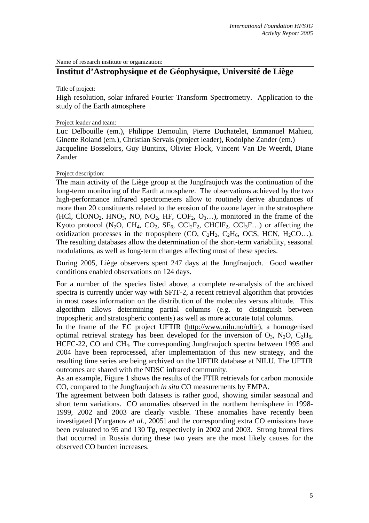Name of research institute or organization:

# **Institut d'Astrophysique et de Géophysique, Université de Liège**

Title of project:

High resolution, solar infrared Fourier Transform Spectrometry. Application to the study of the Earth atmosphere

#### Project leader and team:

Luc Delbouille (em.), Philippe Demoulin, Pierre Duchatelet, Emmanuel Mahieu, Ginette Roland (em.), Christian Servais (project leader), Rodolphe Zander (em.) Jacqueline Bosseloirs, Guy Buntinx, Olivier Flock, Vincent Van De Weerdt, Diane Zander

Project description:

The main activity of the Liège group at the Jungfraujoch was the continuation of the long-term monitoring of the Earth atmosphere. The observations achieved by the two high-performance infrared spectrometers allow to routinely derive abundances of more than 20 constituents related to the erosion of the ozone layer in the stratosphere (HCl, ClONO<sub>2</sub>, HNO<sub>3</sub>, NO, NO<sub>2</sub>, HF, COF<sub>2</sub>, O<sub>3</sub>...), monitored in the frame of the Kyoto protocol (N<sub>2</sub>O, CH<sub>4</sub>, CO<sub>2</sub>, SF<sub>6</sub>, CCl<sub>2</sub>F<sub>2</sub>, CHClF<sub>2</sub>, CCl<sub>3</sub>F...) or affecting the oxidization processes in the troposphere (CO,  $C_2H_2$ ,  $C_2H_6$ , OCS, HCN,  $H_2CO$ ...). The resulting databases allow the determination of the short-term variability, seasonal modulations, as well as long-term changes affecting most of these species.

During 2005, Liège observers spent 247 days at the Jungfraujoch. Good weather conditions enabled observations on 124 days.

For a number of the species listed above, a complete re-analysis of the archived spectra is currently under way with SFIT-2, a recent retrieval algorithm that provides in most cases information on the distribution of the molecules versus altitude. This algorithm allows determining partial columns (e.g. to distinguish between tropospheric and stratospheric contents) as well as more accurate total columns.

In the frame of the EC project UFTIR (http://www.nilu.no/uftir), a homogenised optimal retrieval strategy has been developed for the inversion of  $O_3$ ,  $N_2O$ ,  $C_2H_6$ , HCFC-22, CO and CH4. The corresponding Jungfraujoch spectra between 1995 and 2004 have been reprocessed, after implementation of this new strategy, and the resulting time series are being archived on the UFTIR database at NILU. The UFTIR outcomes are shared with the NDSC infrared community.

As an example, Figure 1 shows the results of the FTIR retrievals for carbon monoxide CO, compared to the Jungfraujoch *in situ* CO measurements by EMPA.

The agreement between both datasets is rather good, showing similar seasonal and short term variations. CO anomalies observed in the northern hemisphere in 1998- 1999, 2002 and 2003 are clearly visible. These anomalies have recently been investigated [Yurganov *et al.*, 2005] and the corresponding extra CO emissions have been evaluated to 95 and 130 Tg, respectively in 2002 and 2003. Strong boreal fires that occurred in Russia during these two years are the most likely causes for the observed CO burden increases.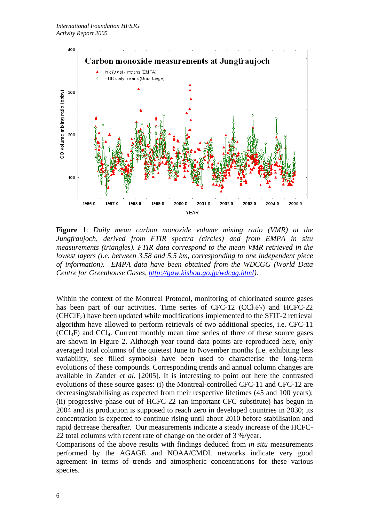

**Figure 1**: *Daily mean carbon monoxide volume mixing ratio (VMR) at the Jungfraujoch, derived from FTIR spectra (circles) and from EMPA in situ measurements (triangles). FTIR data correspond to the mean VMR retrieved in the lowest layers (i.e. between 3.58 and 5.5 km, corresponding to one independent piece of information). EMPA data have been obtained from the WDCGG (World Data Centre for Greenhouse Gases, http://gaw.kishou.go.jp/wdcgg.html).*

Within the context of the Montreal Protocol, monitoring of chlorinated source gases has been part of our activities. Time series of  $CFC-12$   $(CCl<sub>2</sub>F<sub>2</sub>)$  and HCFC-22  $(CHCIF<sub>2</sub>)$  have been updated while modifications implemented to the SFIT-2 retrieval algorithm have allowed to perform retrievals of two additional species, i.e. CFC-11  $(CCl<sub>3</sub>F)$  and  $CCl<sub>4</sub>$ . Current monthly mean time series of three of these source gases are shown in Figure 2. Although year round data points are reproduced here, only averaged total columns of the quietest June to November months (i.e. exhibiting less variability, see filled symbols) have been used to characterise the long-term evolutions of these compounds. Corresponding trends and annual column changes are available in Zander *et al.* [2005]. It is interesting to point out here the contrasted evolutions of these source gases: (i) the Montreal-controlled CFC-11 and CFC-12 are decreasing/stabilising as expected from their respective lifetimes (45 and 100 years); (ii) progressive phase out of HCFC-22 (an important CFC substitute) has begun in 2004 and its production is supposed to reach zero in developed countries in 2030; its concentration is expected to continue rising until about 2010 before stabilisation and rapid decrease thereafter. Our measurements indicate a steady increase of the HCFC-22 total columns with recent rate of change on the order of 3 %/year.

Comparisons of the above results with findings deduced from *in situ* measurements performed by the AGAGE and NOAA/CMDL networks indicate very good agreement in terms of trends and atmospheric concentrations for these various species.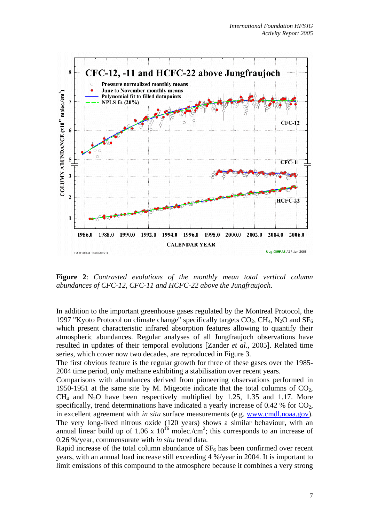

**Figure 2**: *Contrasted evolutions of the monthly mean total vertical column abundances of CFC-12, CFC-11 and HCFC-22 above the Jungfraujoch.*

In addition to the important greenhouse gases regulated by the Montreal Protocol, the 1997 "Kyoto Protocol on climate change" specifically targets  $CO_2$ ,  $CH_4$ ,  $N_2O$  and  $SF_6$ which present characteristic infrared absorption features allowing to quantify their atmospheric abundances. Regular analyses of all Jungfraujoch observations have resulted in updates of their temporal evolutions [Zander *et al.*, 2005]. Related time series, which cover now two decades, are reproduced in Figure 3.

The first obvious feature is the regular growth for three of these gases over the 1985- 2004 time period, only methane exhibiting a stabilisation over recent years.

Comparisons with abundances derived from pioneering observations performed in 1950-1951 at the same site by M. Migeotte indicate that the total columns of  $CO<sub>2</sub>$ ,  $CH<sub>4</sub>$  and N<sub>2</sub>O have been respectively multiplied by 1.25, 1.35 and 1.17. More specifically, trend determinations have indicated a yearly increase of 0.42 % for  $CO<sub>2</sub>$ , in excellent agreement with *in situ* surface measurements (e.g. www.cmdl.noaa.gov). The very long-lived nitrous oxide (120 years) shows a similar behaviour, with an annual linear build up of 1.06 x  $10^{16}$  molec./cm<sup>2</sup>; this corresponds to an increase of 0.26 %/year, commensurate with *in situ* trend data.

Rapid increase of the total column abundance of  $SF<sub>6</sub>$  has been confirmed over recent years, with an annual load increase still exceeding 4 %/year in 2004. It is important to limit emissions of this compound to the atmosphere because it combines a very strong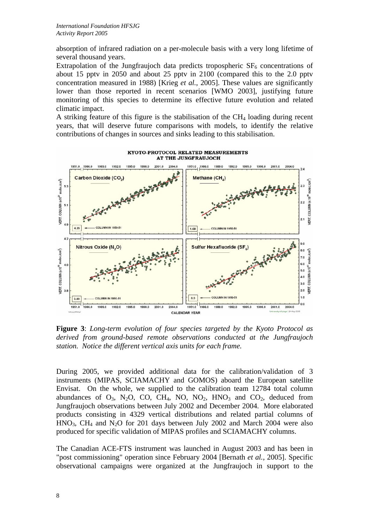absorption of infrared radiation on a per-molecule basis with a very long lifetime of several thousand years.

Extrapolation of the Jungfraujoch data predicts tropospheric  $SF<sub>6</sub>$  concentrations of about 15 pptv in 2050 and about 25 pptv in 2100 (compared this to the 2.0 pptv concentration measured in 1988) [Krieg *et al.*, 2005]. These values are significantly lower than those reported in recent scenarios [WMO 2003], justifying future monitoring of this species to determine its effective future evolution and related climatic impact.

A striking feature of this figure is the stabilisation of the  $CH<sub>4</sub>$  loading during recent years, that will deserve future comparisons with models, to identify the relative contributions of changes in sources and sinks leading to this stabilisation.



**Figure 3**: *Long-term evolution of four species targeted by the Kyoto Protocol as derived from ground-based remote observations conducted at the Jungfraujoch station. Notice the different vertical axis units for each frame.*

During 2005, we provided additional data for the calibration/validation of 3 instruments (MIPAS, SCIAMACHY and GOMOS) aboard the European satellite Envisat. On the whole, we supplied to the calibration team 12784 total column abundances of  $O_3$ , N<sub>2</sub>O, CO, CH<sub>4</sub>, NO, NO<sub>2</sub>, HNO<sub>3</sub> and CO<sub>2</sub>, deduced from Jungfraujoch observations between July 2002 and December 2004. More elaborated products consisting in 4329 vertical distributions and related partial columns of  $HNO<sub>3</sub>$ , CH<sub>4</sub> and N<sub>2</sub>O for 201 days between July 2002 and March 2004 were also produced for specific validation of MIPAS profiles and SCIAMACHY columns.

The Canadian ACE-FTS instrument was launched in August 2003 and has been in "post commissioning" operation since February 2004 [Bernath *et al.*, 2005]. Specific observational campaigns were organized at the Jungfraujoch in support to the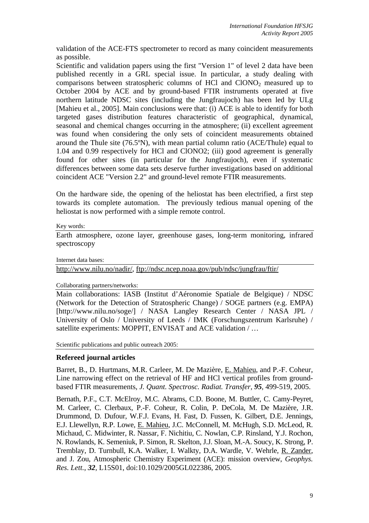validation of the ACE-FTS spectrometer to record as many coincident measurements as possible.

Scientific and validation papers using the first "Version 1" of level 2 data have been published recently in a GRL special issue. In particular, a study dealing with comparisons between stratospheric columns of HCl and  $CIONO<sub>2</sub>$  measured up to October 2004 by ACE and by ground-based FTIR instruments operated at five northern latitude NDSC sites (including the Jungfraujoch) has been led by ULg [Mahieu et al., 2005]. Main conclusions were that: (i) ACE is able to identify for both targeted gases distribution features characteristic of geographical, dynamical, seasonal and chemical changes occurring in the atmosphere; (ii) excellent agreement was found when considering the only sets of coincident measurements obtained around the Thule site (76.5ºN), with mean partial column ratio (ACE/Thule) equal to 1.04 and 0.99 respectively for HCl and ClONO2; (iii) good agreement is generally found for other sites (in particular for the Jungfraujoch), even if systematic differences between some data sets deserve further investigations based on additional coincident ACE "Version 2.2" and ground-level remote FTIR measurements.

On the hardware side, the opening of the heliostat has been electrified, a first step towards its complete automation. The previously tedious manual opening of the heliostat is now performed with a simple remote control.

Key words:

Earth atmosphere, ozone layer, greenhouse gases, long-term monitoring, infrared spectroscopy

Internet data bases:

http://www.nilu.no/nadir/, ftp://ndsc.ncep.noaa.gov/pub/ndsc/jungfrau/ftir/

### Collaborating partners/networks:

Main collaborations: IASB (Institut d'Aéronomie Spatiale de Belgique) / NDSC (Network for the Detection of Stratospheric Change) / SOGE partners (e.g. EMPA) [http://www.nilu.no/soge/] / NASA Langley Research Center / NASA JPL / University of Oslo / University of Leeds / IMK (Forschungszentrum Karlsruhe) / satellite experiments: MOPPIT, ENVISAT and ACE validation  $/ \dots$ 

Scientific publications and public outreach 2005:

## **Refereed journal articles**

Barret, B., D. Hurtmans, M.R. Carleer, M. De Mazière, E. Mahieu, and P.-F. Coheur, Line narrowing effect on the retrieval of HF and HCl vertical profiles from groundbased FTIR measurements, *J. Quant. Spectrosc. Radiat. Transfer, 95*, 499-519, 2005.

Bernath, P.F., C.T. McElroy, M.C. Abrams, C.D. Boone, M. Buttler, C. Camy-Peyret, M. Carleer, C. Clerbaux, P.-F. Coheur, R. Colin, P. DeCola, M. De Mazière, J.R. Drummond, D. Dufour, W.F.J. Evans, H. Fast, D. Fussen, K. Gilbert, D.E. Jennings, E.J. Llewellyn, R.P. Lowe, E. Mahieu, J.C. McConnell, M. McHugh, S.D. McLeod, R. Michaud, C. Midwinter, R. Nassar, F. Nichitiu, C. Nowlan, C.P. Rinsland, Y.J. Rochon, N. Rowlands, K. Semeniuk, P. Simon, R. Skelton, J.J. Sloan, M.-A. Soucy, K. Strong, P. Tremblay, D. Turnbull, K.A. Walker, I. Walkty, D.A. Wardle, V. Wehrle, R. Zander, and J. Zou, Atmospheric Chemistry Experiment (ACE): mission overview, *Geophys. Res. Lett.*, *32*, L15S01, doi:10.1029/2005GL022386, 2005.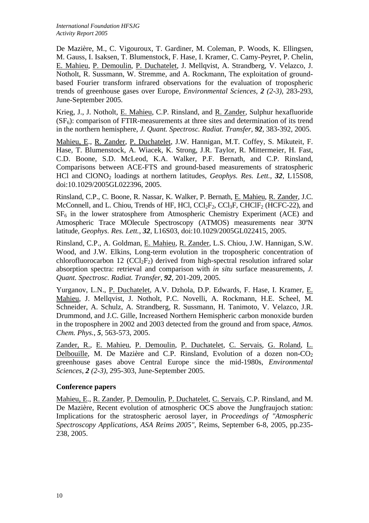De Mazière, M., C. Vigouroux, T. Gardiner, M. Coleman, P. Woods, K. Ellingsen, M. Gauss, I. Isaksen, T. Blumenstock, F. Hase, I. Kramer, C. Camy-Peyret, P. Chelin, E. Mahieu, P. Demoulin, P. Duchatelet, J. Mellqvist, A. Strandberg, V. Velazco, J. Notholt, R. Sussmann, W. Stremme, and A. Rockmann, The exploitation of groundbased Fourier transform infrared observations for the evaluation of tropospheric trends of greenhouse gases over Europe, *Environmental Sciences*, *2 (2-3)*, 283-293, June-September 2005.

Krieg, J., J. Notholt, E. Mahieu, C.P. Rinsland, and R. Zander, Sulphur hexafluoride  $(SF_6)$ : comparison of FTIR-measurements at three sites and determination of its trend in the northern hemisphere, *J. Quant. Spectrosc. Radiat. Transfer, 92*, 383-392, 2005.

Mahieu, E., R. Zander, P. Duchatelet, J.W. Hannigan, M.T. Coffey, S. Mikuteit, F. Hase, T. Blumenstock, A. Wiacek, K. Strong, J.R. Taylor, R. Mittermeier, H. Fast, C.D. Boone, S.D. McLeod, K.A. Walker, P.F. Bernath, and C.P. Rinsland, Comparisons between ACE-FTS and ground-based measurements of stratospheric HCl and ClONO<sub>2</sub> loadings at northern latitudes, *Geophys. Res. Lett.*, 32, L15S08, doi:10.1029/2005GL022396, 2005.

Rinsland, C.P., C. Boone, R. Nassar, K. Walker, P. Bernath, E. Mahieu, R. Zander, J.C. McConnell, and L. Chiou, Trends of HF, HCl,  $CCl_2F_2$ ,  $CCl_3F$ ,  $CHClF_2$  (HCFC-22), and  $SF<sub>6</sub>$  in the lower stratosphere from Atmospheric Chemistry Experiment (ACE) and Atmospheric Trace MOlecule Spectroscopy (ATMOS) measurements near 30ºN latitude, *Geophys. Res. Lett.*, *32*, L16S03, doi:10.1029/2005GL022415, 2005.

Rinsland, C.P., A. Goldman, E. Mahieu, R. Zander, L.S. Chiou, J.W. Hannigan, S.W. Wood, and J.W. Elkins, Long-term evolution in the tropospheric concentration of chlorofluorocarbon 12 ( $CCl_2F_2$ ) derived from high-spectral resolution infrared solar absorption spectra: retrieval and comparison with *in situ* surface measurements, *J. Quant. Spectrosc. Radiat. Transfer, 92*, 201-209, 2005.

Yurganov, L.N., P. Duchatelet, A.V. Dzhola, D.P. Edwards, F. Hase, I. Kramer, E. Mahieu, J. Mellqvist, J. Notholt, P.C. Novelli, A. Rockmann, H.E. Scheel, M. Schneider, A. Schulz, A. Strandberg, R. Sussmann, H. Tanimoto, V. Velazco, J.R. Drummond, and J.C. Gille, Increased Northern Hemispheric carbon monoxide burden in the troposphere in 2002 and 2003 detected from the ground and from space, *Atmos. Chem. Phys.*, *5*, 563-573, 2005.

Zander, R., E. Mahieu, P. Demoulin, P. Duchatelet, C. Servais, G. Roland, L. Delbouille, M. De Mazière and C.P. Rinsland, Evolution of a dozen non- $CO<sub>2</sub>$ greenhouse gases above Central Europe since the mid-1980s, *Environmental Sciences*, *2 (2-3)*, 295-303, June-September 2005.

# **Conference papers**

Mahieu, E., R. Zander, P. Demoulin, P. Duchatelet, C. Servais, C.P. Rinsland, and M. De Mazière, Recent evolution of atmospheric OCS above the Jungfraujoch station: Implications for the stratospheric aerosol layer, in *Proceedings of "Atmospheric Spectroscopy Applications, ASA Reims 2005"*, Reims, September 6-8, 2005, pp.235- 238, 2005.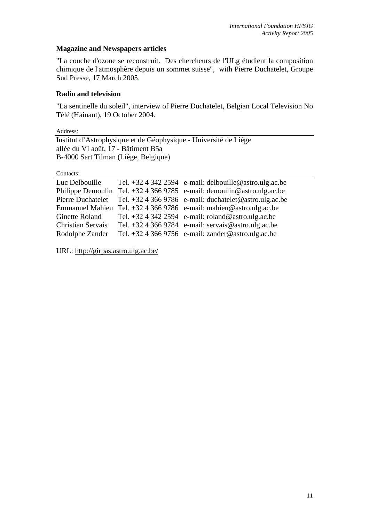# **Magazine and Newspapers articles**

"La couche d'ozone se reconstruit. Des chercheurs de l'ULg étudient la composition chimique de l'atmosphère depuis un sommet suisse", with Pierre Duchatelet, Groupe Sud Presse, 17 March 2005.

# **Radio and television**

"La sentinelle du soleil", interview of Pierre Duchatelet, Belgian Local Television No Télé (Hainaut), 19 October 2004.

Address:

Institut d'Astrophysique et de Géophysique - Université de Liège allée du VI août, 17 - Bâtiment B5a B-4000 Sart Tilman (Liège, Belgique)

Contacts:

| Luc Delbouille           | Tel. $+3243422594$ e-mail: delbouille@astro.ulg.ac.be                    |
|--------------------------|--------------------------------------------------------------------------|
|                          | Philippe Demoulin Tel. $+3243669785$ e-mail: demoulin@astro.ulg.ac.be    |
|                          | Pierre Duchatelet Tel. +32 4 366 9786 e-mail: duchatelet@astro.ulg.ac.be |
|                          | Emmanuel Mahieu Tel. +32 4 366 9786 e-mail: mahieu@astro.ulg.ac.be       |
|                          | Ginette Roland Tel. $+3243422594$ e-mail: roland@astro.ulg.ac.be         |
| <b>Christian Servais</b> | Tel. +32 4 366 9784 e-mail: servais@astro.ulg.ac.be                      |
| Rodolphe Zander          | Tel. +32 4 366 9756 e-mail: zander@astro.ulg.ac.be                       |

URL: http://girpas.astro.ulg.ac.be/